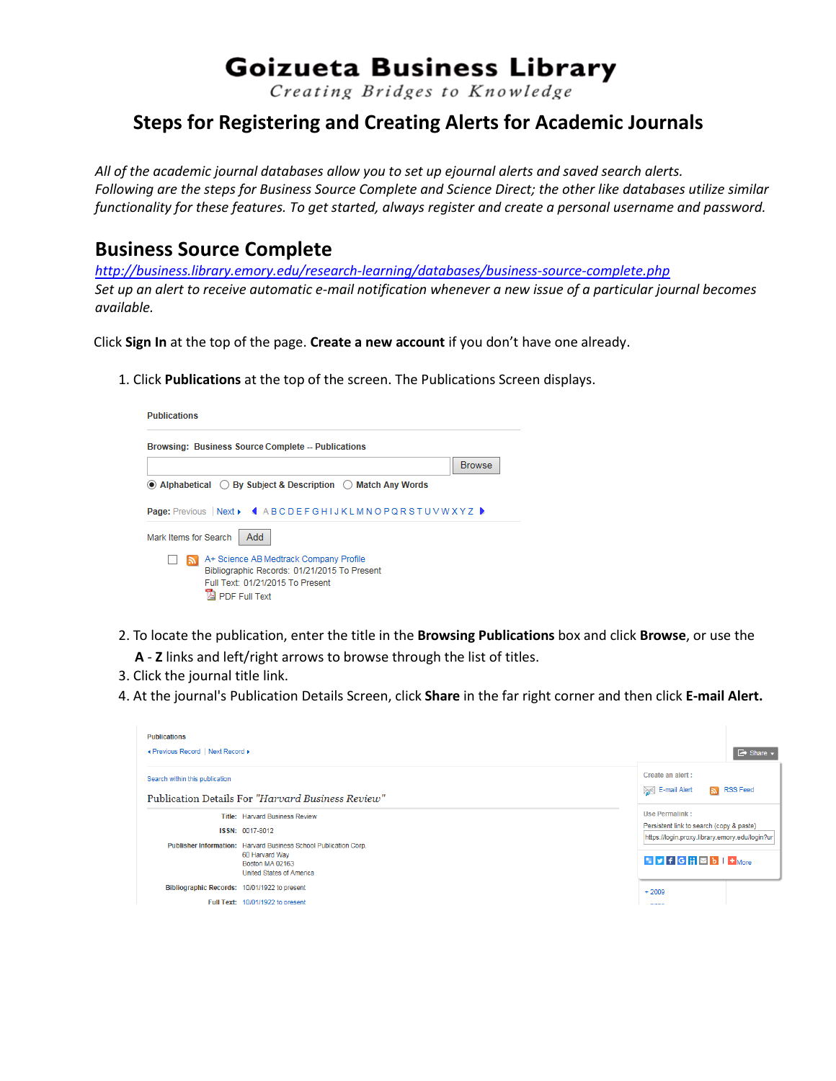# **Goizueta Business Library**

Creating Bridges to Knowledge

# **Steps for Registering and Creating Alerts for Academic Journals**

*All of the academic journal databases allow you to set up ejournal alerts and saved search alerts. Following are the steps for Business Source Complete and Science Direct; the other like databases utilize similar functionality for these features. To get started, always register and create a personal username and password.*

## **Business Source Complete**

*<http://business.library.emory.edu/research-learning/databases/business-source-complete.php> Set up an alert to receive automatic e-mail notification whenever a new issue of a particular journal becomes available.*

Click **Sign In** at the top of the page. **Create a new account** if you don't have one already.

1. Click **Publications** at the top of the screen. The Publications Screen displays.



- 2. To locate the publication, enter the title in the **Browsing Publications** box and click **Browse**, or use the
	- **A Z** links and left/right arrows to browse through the list of titles.
- 3. Click the journal title link.
- 4. At the journal's Publication Details Screen, click **Share** in the far right corner and then click **E-mail Alert.**

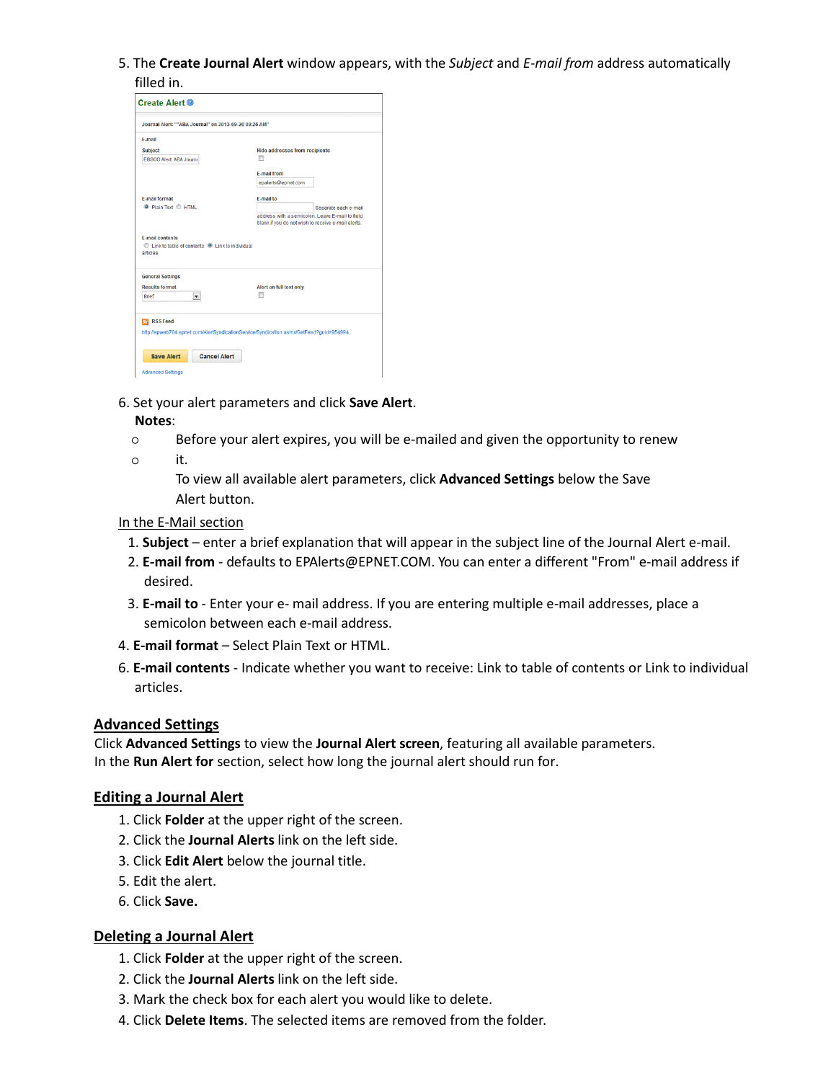5. The **Create Journal Alert** window appears, with the *Subject* and *E-mail from* address automatically filled in.

| <b>Create Alert @</b><br>Journal Alert: ""ABA Journal" on 2013-09-20 09:26 AM"         |                                                                                                                               |
|----------------------------------------------------------------------------------------|-------------------------------------------------------------------------------------------------------------------------------|
|                                                                                        |                                                                                                                               |
| <b>Subject</b><br>EBSCO Alert ABA Journal                                              | <b>Hide addresses from recipients</b><br>m                                                                                    |
|                                                                                        | <b>E-mail from</b>                                                                                                            |
|                                                                                        | epalerts@epnet.com                                                                                                            |
| <b>F.mail format</b>                                                                   | <b>E-mail to</b>                                                                                                              |
| C Plain Text C HTML                                                                    | Separate each e-mail<br>address with a semicolon. Leave E-mail to field<br>blank if you do not wish to receive e-mail alerts. |
| <b>E-mail contents</b><br>C Link to table of contents C Link to individual<br>articles |                                                                                                                               |
| <b>General Settings</b>                                                                |                                                                                                                               |
| <b>Results format</b><br><b>Brief</b><br>$\blacksquare$                                | Alert on full text only<br>m                                                                                                  |
| <b>RSS Feed</b>                                                                        | http://epweb704.epnet.com/AlertSyndicationService/Syndication.asmx/GetFeed?guid=954994                                        |
|                                                                                        |                                                                                                                               |
|                                                                                        |                                                                                                                               |
| <b>Save Alert</b><br><b>Cancel Alert</b>                                               |                                                                                                                               |
|                                                                                        |                                                                                                                               |

6. Set your alert parameters and click **Save Alert**.

#### **Notes**:

- $\circ$ Before your alert expires, you will be e-mailed and given the opportunity to renew
- it.  $\circ$

To view all available alert parameters, click **Advanced Settings** below the Save Alert button.

#### In the E-Mail section

- 1. **Subject**  enter a brief explanation that will appear in the subject line of the Journal Alert e-mail.
- 2. **E-mail from**  [defaults to EPAlerts@EPNET.COM. Y](mailto:EPAlerts@EPNET.COM)ou can enter a different "From" e-mail address if desired.
- 3. **E-mail to**  Enter your e- mail address. If you are entering multiple e-mail addresses, place a semicolon between each e-mail address.
- 4. **E-mail format**  Select Plain Text or HTML.
- 6. **E-mail contents**  Indicate whether you want to receive: Link to table of contents or Link to individual articles.

#### **Advanced Settings**

Click **Advanced Settings** to view the **Journal Alert screen**, featuring all available parameters. In the **Run Alert for** section, select how long the journal alert should run for.

#### **Editing a Journal Alert**

- 1. Click **Folder** at the upper right of the screen.
- 2. Click the **Journal Alerts** link on the left side.
- 3. Click **Edit Alert** below the journal title.
- 5. Edit the alert.
- 6. Click **Save.**

#### **Deleting a Journal Alert**

- 1. Click **Folder** at the upper right of the screen.
- 2. Click the **Journal Alerts** link on the left side.
- 3. Mark the check box for each alert you would like to delete.
- 4. Click **Delete Items**. The selected items are removed from the folder.